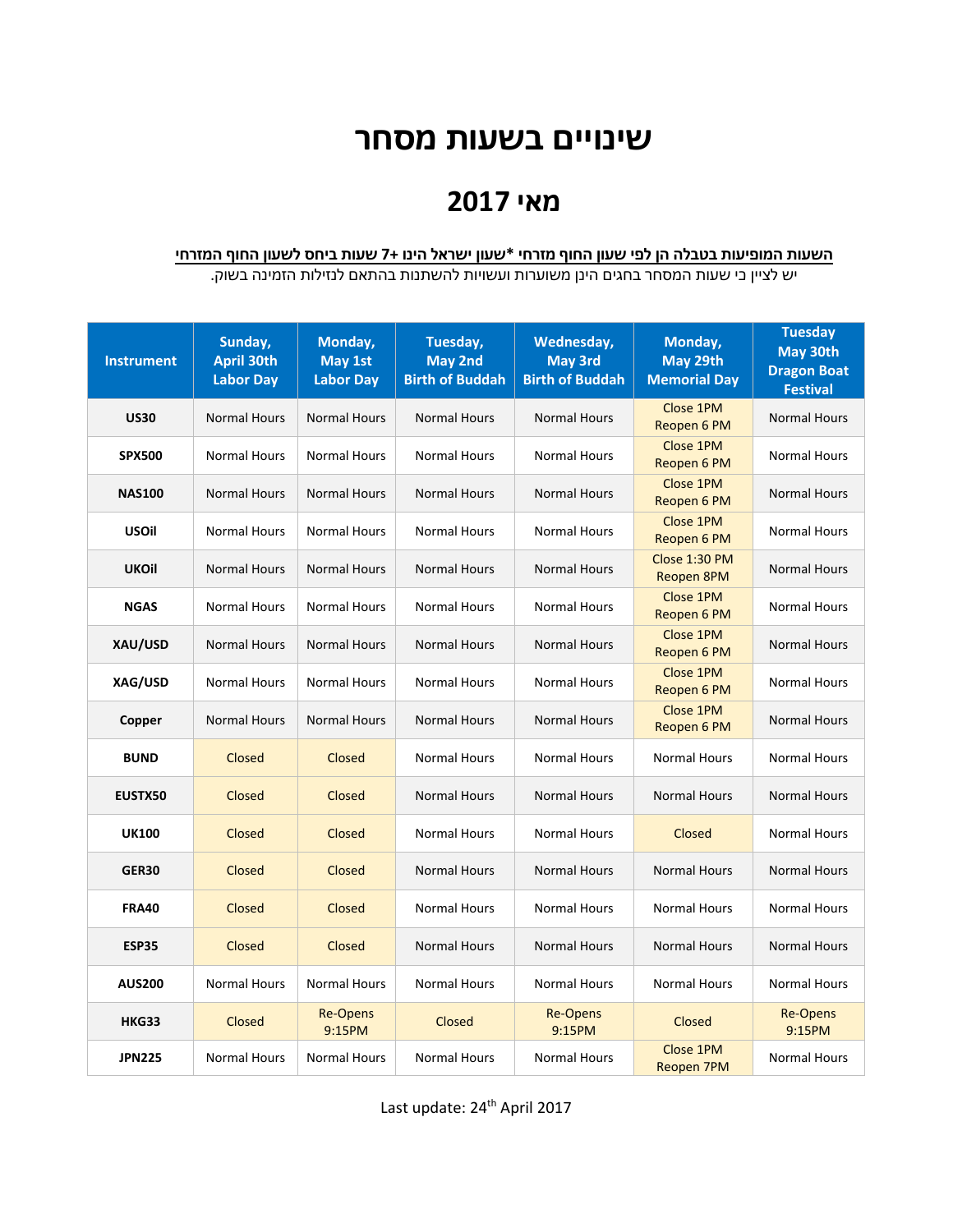# **שינויים בשעות מסחר**

## **מאי 2017**

#### **השעות המופיעות בטבלה הן לפי שעון החוף מזרחי \*שעון ישראל הינו 7+ שעות ביחס לשעון החוף המזרחי**

יש לציין כי שעות המסחר בחגים הינן משוערות ועשויות להשתנות בהתאם לנזילות הזמינה בשוק.

| <b>Instrument</b> | Sunday,<br>April 30th<br><b>Labor Day</b> | Monday,<br>May 1st<br><b>Labor Day</b> | Tuesday,<br>May 2nd<br><b>Birth of Buddah</b> | Wednesday,<br><b>May 3rd</b><br><b>Birth of Buddah</b> | Monday,<br>May 29th<br><b>Memorial Day</b> | <b>Tuesday</b><br>May 30th<br><b>Dragon Boat</b><br><b>Festival</b> |
|-------------------|-------------------------------------------|----------------------------------------|-----------------------------------------------|--------------------------------------------------------|--------------------------------------------|---------------------------------------------------------------------|
| <b>US30</b>       | <b>Normal Hours</b>                       | <b>Normal Hours</b>                    | <b>Normal Hours</b>                           | <b>Normal Hours</b>                                    | Close 1PM<br>Reopen 6 PM                   | <b>Normal Hours</b>                                                 |
| <b>SPX500</b>     | <b>Normal Hours</b>                       | <b>Normal Hours</b>                    | <b>Normal Hours</b>                           | <b>Normal Hours</b>                                    | Close 1PM<br>Reopen 6 PM                   | <b>Normal Hours</b>                                                 |
| <b>NAS100</b>     | <b>Normal Hours</b>                       | <b>Normal Hours</b>                    | <b>Normal Hours</b>                           | Normal Hours                                           | Close 1PM<br>Reopen 6 PM                   | <b>Normal Hours</b>                                                 |
| <b>USOil</b>      | <b>Normal Hours</b>                       | <b>Normal Hours</b>                    | <b>Normal Hours</b>                           | <b>Normal Hours</b>                                    | Close 1PM<br>Reopen 6 PM                   | <b>Normal Hours</b>                                                 |
| <b>UKOil</b>      | <b>Normal Hours</b>                       | <b>Normal Hours</b>                    | <b>Normal Hours</b>                           | <b>Normal Hours</b>                                    | Close 1:30 PM<br>Reopen 8PM                | <b>Normal Hours</b>                                                 |
| <b>NGAS</b>       | <b>Normal Hours</b>                       | <b>Normal Hours</b>                    | <b>Normal Hours</b>                           | <b>Normal Hours</b>                                    | Close 1PM<br>Reopen 6 PM                   | <b>Normal Hours</b>                                                 |
| XAU/USD           | <b>Normal Hours</b>                       | <b>Normal Hours</b>                    | <b>Normal Hours</b>                           | <b>Normal Hours</b>                                    | Close 1PM<br>Reopen 6 PM                   | <b>Normal Hours</b>                                                 |
| <b>XAG/USD</b>    | <b>Normal Hours</b>                       | <b>Normal Hours</b>                    | <b>Normal Hours</b>                           | <b>Normal Hours</b>                                    | Close 1PM<br>Reopen 6 PM                   | <b>Normal Hours</b>                                                 |
| Copper            | <b>Normal Hours</b>                       | <b>Normal Hours</b>                    | <b>Normal Hours</b>                           | <b>Normal Hours</b>                                    | Close 1PM<br>Reopen 6 PM                   | <b>Normal Hours</b>                                                 |
| <b>BUND</b>       | Closed                                    | Closed                                 | <b>Normal Hours</b>                           | <b>Normal Hours</b>                                    | <b>Normal Hours</b>                        | <b>Normal Hours</b>                                                 |
| EUSTX50           | Closed                                    | <b>Closed</b>                          | <b>Normal Hours</b>                           | <b>Normal Hours</b>                                    | <b>Normal Hours</b>                        | <b>Normal Hours</b>                                                 |
| <b>UK100</b>      | <b>Closed</b>                             | <b>Closed</b>                          | <b>Normal Hours</b>                           | <b>Normal Hours</b>                                    | Closed                                     | <b>Normal Hours</b>                                                 |
| <b>GER30</b>      | Closed                                    | Closed                                 | <b>Normal Hours</b>                           | <b>Normal Hours</b>                                    | <b>Normal Hours</b>                        | <b>Normal Hours</b>                                                 |
| <b>FRA40</b>      | Closed                                    | Closed                                 | <b>Normal Hours</b>                           | <b>Normal Hours</b>                                    | <b>Normal Hours</b>                        | <b>Normal Hours</b>                                                 |
| <b>ESP35</b>      | <b>Closed</b>                             | Closed                                 | <b>Normal Hours</b>                           | <b>Normal Hours</b>                                    | <b>Normal Hours</b>                        | <b>Normal Hours</b>                                                 |
| <b>AUS200</b>     | <b>Normal Hours</b>                       | <b>Normal Hours</b>                    | <b>Normal Hours</b>                           | <b>Normal Hours</b>                                    | <b>Normal Hours</b>                        | <b>Normal Hours</b>                                                 |
| <b>HKG33</b>      | Closed                                    | <b>Re-Opens</b><br>9:15PM              | Closed                                        | <b>Re-Opens</b><br>9:15PM                              | Closed                                     | <b>Re-Opens</b><br>9:15PM                                           |
| <b>JPN225</b>     | <b>Normal Hours</b>                       | <b>Normal Hours</b>                    | <b>Normal Hours</b>                           | <b>Normal Hours</b>                                    | Close 1PM<br><b>Reopen 7PM</b>             | <b>Normal Hours</b>                                                 |

Last update: 24<sup>th</sup> April 2017